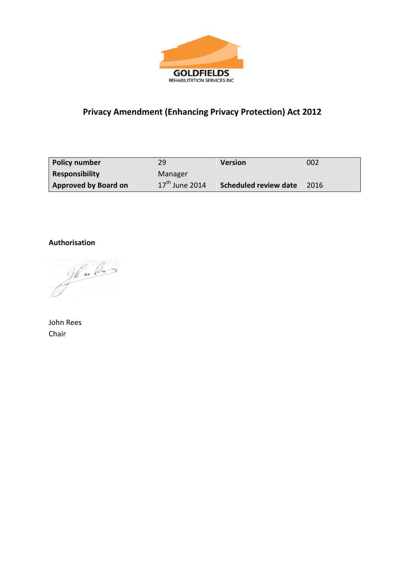

# **Privacy Amendment (Enhancing Privacy Protection) Act 2012**

| <b>Policy number</b>        | 29                         | <b>Version</b>        | 002  |
|-----------------------------|----------------------------|-----------------------|------|
| <b>Responsibility</b>       | Manager                    |                       |      |
| <b>Approved by Board on</b> | $17^{\text{th}}$ June 2014 | Scheduled review date | 2016 |

### **Authorisation**

glim Por

John Rees Chair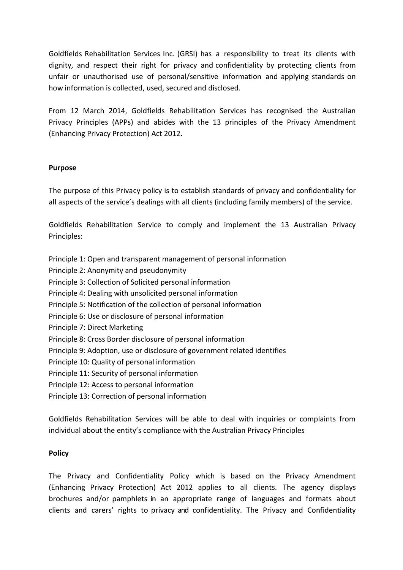Goldfields Rehabilitation Services Inc. (GRSI) has a responsibility to treat its clients with dignity, and respect their right for privacy and confidentiality by protecting clients from unfair or unauthorised use of personal/sensitive information and applying standards on how information is collected, used, secured and disclosed.

From 12 March 2014, Goldfields Rehabilitation Services has recognised the Australian Privacy Principles (APPs) and abides with the 13 principles of the Privacy Amendment (Enhancing Privacy Protection) Act 2012.

## **Purpose**

The purpose of this Privacy policy is to establish standards of privacy and confidentiality for all aspects of the service's dealings with all clients (including family members) of the service.

Goldfields Rehabilitation Service to comply and implement the 13 Australian Privacy Principles:

- Principle 1: Open and transparent management of personal information
- Principle 2: Anonymity and pseudonymity
- Principle 3: Collection of Solicited personal information
- Principle 4: Dealing with unsolicited personal information
- Principle 5: Notification of the collection of personal information
- Principle 6: Use or disclosure of personal information
- Principle 7: Direct Marketing
- Principle 8: Cross Border disclosure of personal information
- Principle 9: Adoption, use or disclosure of government related identifies
- Principle 10: Quality of personal information
- Principle 11: Security of personal information
- Principle 12: Access to personal information
- Principle 13: Correction of personal information

Goldfields Rehabilitation Services will be able to deal with inquiries or complaints from individual about the entity's compliance with the Australian Privacy Principles

## **Policy**

The Privacy and Confidentiality Policy which is based on the Privacy Amendment (Enhancing Privacy Protection) Act 2012 applies to all clients. The agency displays brochures and/or pamphlets in an appropriate range of languages and formats about clients and carers' rights to privacy and confidentiality. The Privacy and Confidentiality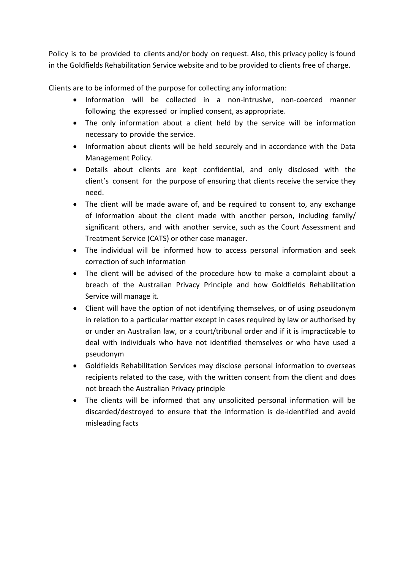Policy is to be provided to clients and/or body on request. Also, this privacy policy is found in the Goldfields Rehabilitation Service website and to be provided to clients free of charge.

Clients are to be informed of the purpose for collecting any information:

- Information will be collected in a non-intrusive, non-coerced manner following the expressed or implied consent, as appropriate.
- The only information about a client held by the service will be information necessary to provide the service.
- Information about clients will be held securely and in accordance with the Data Management Policy.
- Details about clients are kept confidential, and only disclosed with the client's consent for the purpose of ensuring that clients receive the service they need.
- The client will be made aware of, and be required to consent to, any exchange of information about the client made with another person, including family/ significant others, and with another service, such as the Court Assessment and Treatment Service (CATS) or other case manager.
- The individual will be informed how to access personal information and seek correction of such information
- The client will be advised of the procedure how to make a complaint about a breach of the Australian Privacy Principle and how Goldfields Rehabilitation Service will manage it.
- Client will have the option of not identifying themselves, or of using pseudonym in relation to a particular matter except in cases required by law or authorised by or under an Australian law, or a court/tribunal order and if it is impracticable to deal with individuals who have not identified themselves or who have used a pseudonym
- Goldfields Rehabilitation Services may disclose personal information to overseas recipients related to the case, with the written consent from the client and does not breach the Australian Privacy principle
- The clients will be informed that any unsolicited personal information will be discarded/destroyed to ensure that the information is de-identified and avoid misleading facts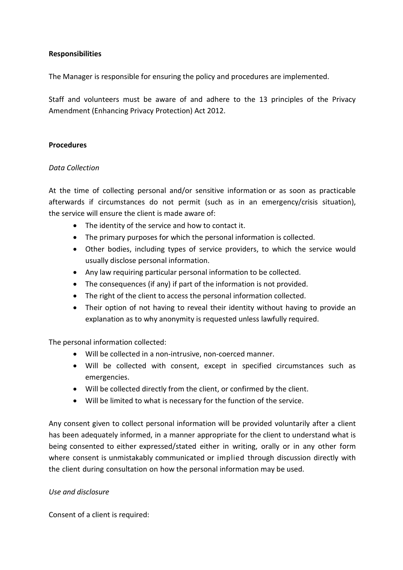### **Responsibilities**

The Manager is responsible for ensuring the policy and procedures are implemented.

Staff and volunteers must be aware of and adhere to the 13 principles of the Privacy Amendment (Enhancing Privacy Protection) Act 2012.

#### **Procedures**

#### *Data Collection*

At the time of collecting personal and/or sensitive information or as soon as practicable afterwards if circumstances do not permit (such as in an emergency/crisis situation), the service will ensure the client is made aware of:

- The identity of the service and how to contact it.
- The primary purposes for which the personal information is collected.
- Other bodies, including types of service providers, to which the service would usually disclose personal information.
- Any law requiring particular personal information to be collected.
- The consequences (if any) if part of the information is not provided.
- The right of the client to access the personal information collected.
- Their option of not having to reveal their identity without having to provide an explanation as to why anonymity is requested unless lawfully required.

The personal information collected:

- Will be collected in a non-intrusive, non-coerced manner.
- Will be collected with consent, except in specified circumstances such as emergencies.
- Will be collected directly from the client, or confirmed by the client.
- Will be limited to what is necessary for the function of the service.

Any consent given to collect personal information will be provided voluntarily after a client has been adequately informed, in a manner appropriate for the client to understand what is being consented to either expressed/stated either in writing, orally or in any other form where consent is unmistakably communicated or implied through discussion directly with the client during consultation on how the personal information may be used.

## *Use and disclosure*

Consent of a client is required: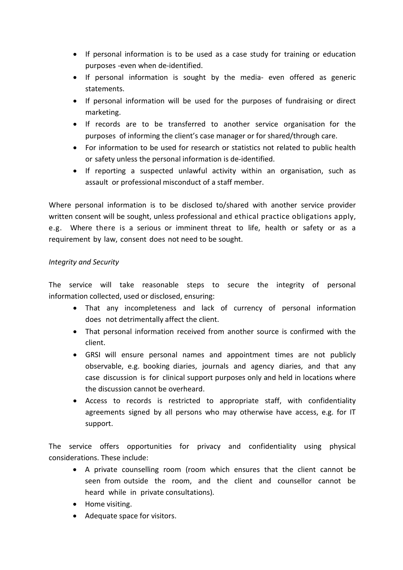- If personal information is to be used as a case study for training or education purposes -even when de-identified.
- If personal information is sought by the media- even offered as generic statements.
- If personal information will be used for the purposes of fundraising or direct marketing.
- If records are to be transferred to another service organisation for the purposes of informing the client's case manager or for shared/through care.
- For information to be used for research or statistics not related to public health or safety unless the personal information is de-identified.
- If reporting a suspected unlawful activity within an organisation, such as assault or professional misconduct of a staff member.

Where personal information is to be disclosed to/shared with another service provider written consent will be sought, unless professional and ethical practice obligations apply, e.g. Where there is a serious or imminent threat to life, health or safety or as a requirement by law, consent does not need to be sought.

## *Integrity and Security*

The service will take reasonable steps to secure the integrity of personal information collected, used or disclosed, ensuring:

- That any incompleteness and lack of currency of personal information does not detrimentally affect the client.
- That personal information received from another source is confirmed with the client.
- GRSI will ensure personal names and appointment times are not publicly observable, e.g. booking diaries, journals and agency diaries, and that any case discussion is for clinical support purposes only and held in locations where the discussion cannot be overheard.
- Access to records is restricted to appropriate staff, with confidentiality agreements signed by all persons who may otherwise have access, e.g. for IT support.

The service offers opportunities for privacy and confidentiality using physical considerations. These include:

- A private counselling room (room which ensures that the client cannot be seen from outside the room, and the client and counsellor cannot be heard while in private consultations).
- Home visiting.
- Adequate space for visitors.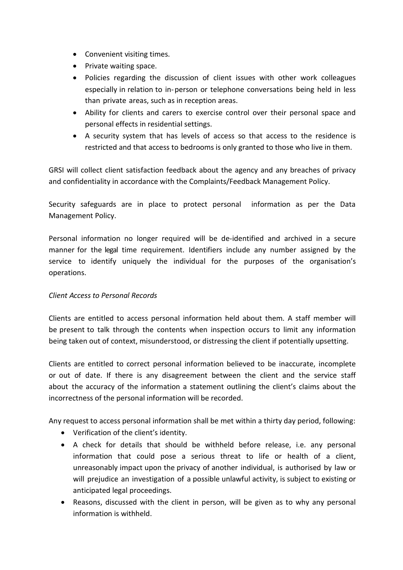- Convenient visiting times.
- Private waiting space.
- Policies regarding the discussion of client issues with other work colleagues especially in relation to in-person or telephone conversations being held in less than private areas, such as in reception areas.
- Ability for clients and carers to exercise control over their personal space and personal effects in residential settings.
- A security system that has levels of access so that access to the residence is restricted and that access to bedrooms is only granted to those who live in them.

GRSI will collect client satisfaction feedback about the agency and any breaches of privacy and confidentiality in accordance with the Complaints/Feedback Management Policy.

Security safeguards are in place to protect personal information as per the Data Management Policy.

Personal information no longer required will be de-identified and archived in a secure manner for the legal time requirement. Identifiers include any number assigned by the service to identify uniquely the individual for the purposes of the organisation's operations.

## *Client Access to Personal Records*

Clients are entitled to access personal information held about them. A staff member will be present to talk through the contents when inspection occurs to limit any information being taken out of context, misunderstood, or distressing the client if potentially upsetting.

Clients are entitled to correct personal information believed to be inaccurate, incomplete or out of date. If there is any disagreement between the client and the service staff about the accuracy of the information a statement outlining the client's claims about the incorrectness of the personal information will be recorded.

Any request to access personal information shall be met within a thirty day period, following:

- Verification of the client's identity.
- A check for details that should be withheld before release, i.e. any personal information that could pose a serious threat to life or health of a client, unreasonably impact upon the privacy of another individual, is authorised by law or will prejudice an investigation of a possible unlawful activity, is subject to existing or anticipated legal proceedings.
- Reasons, discussed with the client in person, will be given as to why any personal information is withheld.